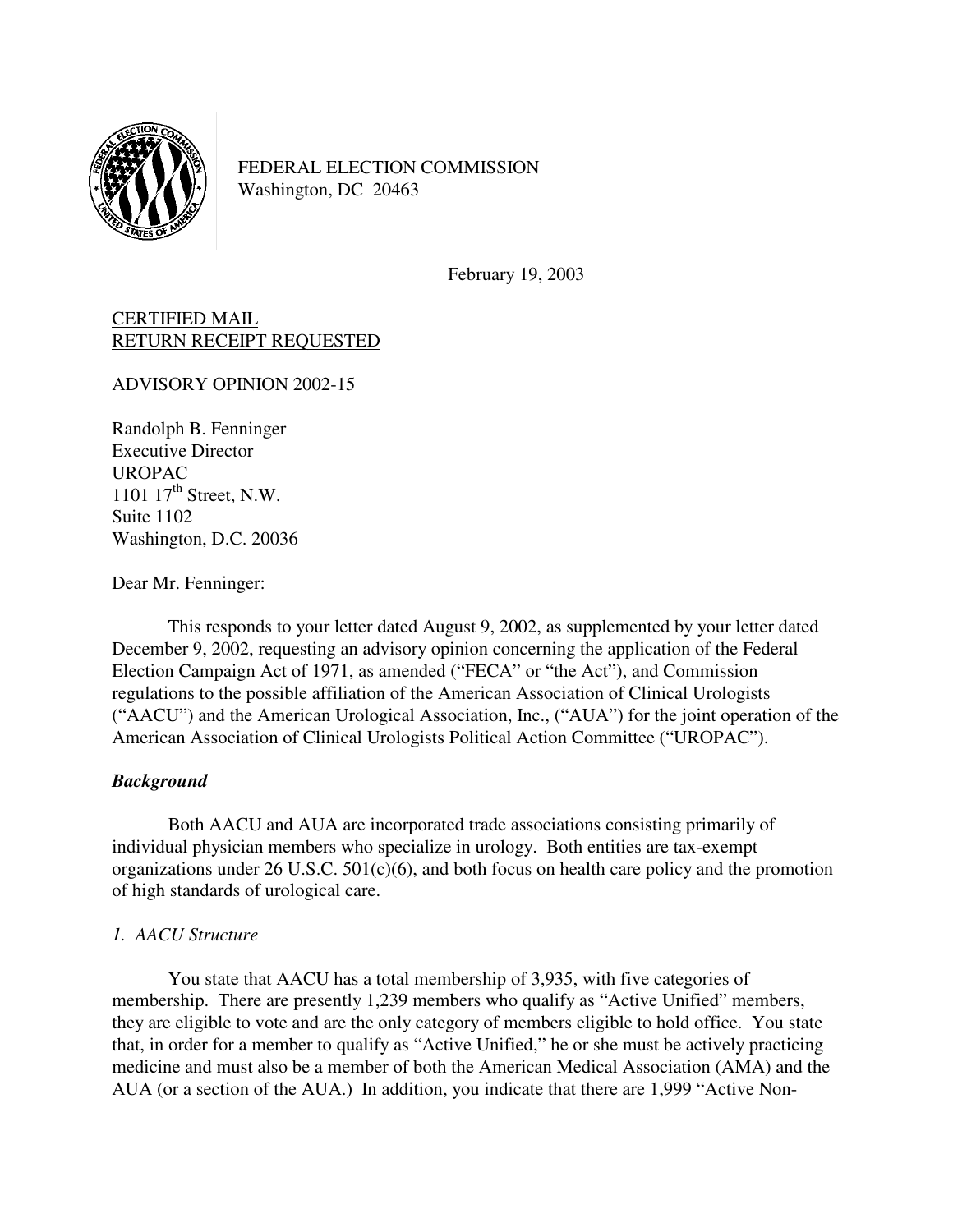

FEDERAL ELECTION COMMISSION Washington, DC 20463

February 19, 2003

# CERTIFIED MAIL RETURN RECEIPT REQUESTED

ADVISORY OPINION 2002-15

Randolph B. Fenninger Executive Director UROPAC 1101  $17<sup>th</sup>$  Street, N.W. Suite 1102 Washington, D.C. 20036

Dear Mr. Fenninger:

 This responds to your letter dated August 9, 2002, as supplemented by your letter dated December 9, 2002, requesting an advisory opinion concerning the application of the Federal Election Campaign Act of 1971, as amended ("FECA" or "the Act"), and Commission regulations to the possible affiliation of the American Association of Clinical Urologists ("AACU") and the American Urological Association, Inc., ("AUA") for the joint operation of the American Association of Clinical Urologists Political Action Committee ("UROPAC").

# *Background*

Both AACU and AUA are incorporated trade associations consisting primarily of individual physician members who specialize in urology. Both entities are tax-exempt organizations under  $26$  U.S.C.  $501(c)(6)$ , and both focus on health care policy and the promotion of high standards of urological care.

# *1. AACU Structure*

You state that AACU has a total membership of 3,935, with five categories of membership. There are presently 1,239 members who qualify as "Active Unified" members, they are eligible to vote and are the only category of members eligible to hold office. You state that, in order for a member to qualify as "Active Unified," he or she must be actively practicing medicine and must also be a member of both the American Medical Association (AMA) and the AUA (or a section of the AUA.) In addition, you indicate that there are 1,999 "Active Non-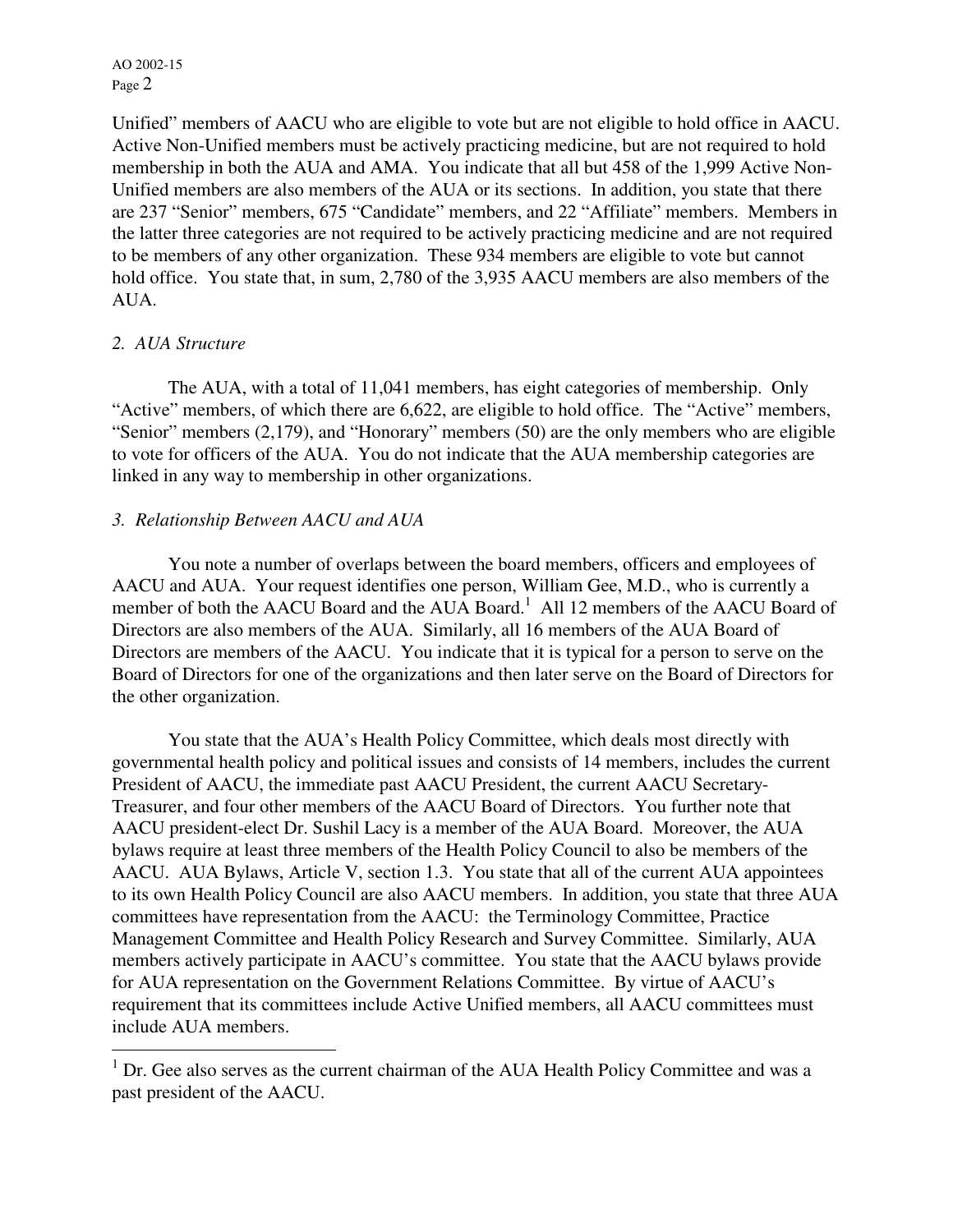Unified" members of AACU who are eligible to vote but are not eligible to hold office in AACU. Active Non-Unified members must be actively practicing medicine, but are not required to hold membership in both the AUA and AMA. You indicate that all but 458 of the 1,999 Active Non-Unified members are also members of the AUA or its sections. In addition, you state that there are 237 "Senior" members, 675 "Candidate" members, and 22 "Affiliate" members. Members in the latter three categories are not required to be actively practicing medicine and are not required to be members of any other organization. These 934 members are eligible to vote but cannot hold office. You state that, in sum, 2,780 of the 3,935 AACU members are also members of the AUA.

## *2. AUA Structure*

 $\overline{a}$ 

The AUA, with a total of 11,041 members, has eight categories of membership. Only "Active" members, of which there are 6,622, are eligible to hold office. The "Active" members, "Senior" members (2,179), and "Honorary" members (50) are the only members who are eligible to vote for officers of the AUA. You do not indicate that the AUA membership categories are linked in any way to membership in other organizations.

## *3. Relationship Between AACU and AUA*

 You note a number of overlaps between the board members, officers and employees of AACU and AUA. Your request identifies one person, William Gee, M.D., who is currently a member of both the AACU Board and the AUA Board.<sup>1</sup> All 12 members of the AACU Board of Directors are also members of the AUA. Similarly, all 16 members of the AUA Board of Directors are members of the AACU. You indicate that it is typical for a person to serve on the Board of Directors for one of the organizations and then later serve on the Board of Directors for the other organization.

You state that the AUA's Health Policy Committee, which deals most directly with governmental health policy and political issues and consists of 14 members, includes the current President of AACU, the immediate past AACU President, the current AACU Secretary-Treasurer, and four other members of the AACU Board of Directors. You further note that AACU president-elect Dr. Sushil Lacy is a member of the AUA Board. Moreover, the AUA bylaws require at least three members of the Health Policy Council to also be members of the AACU. AUA Bylaws, Article V, section 1.3. You state that all of the current AUA appointees to its own Health Policy Council are also AACU members. In addition, you state that three AUA committees have representation from the AACU: the Terminology Committee, Practice Management Committee and Health Policy Research and Survey Committee. Similarly, AUA members actively participate in AACU's committee. You state that the AACU bylaws provide for AUA representation on the Government Relations Committee. By virtue of AACU's requirement that its committees include Active Unified members, all AACU committees must include AUA members.

<sup>&</sup>lt;sup>1</sup> Dr. Gee also serves as the current chairman of the AUA Health Policy Committee and was a past president of the AACU.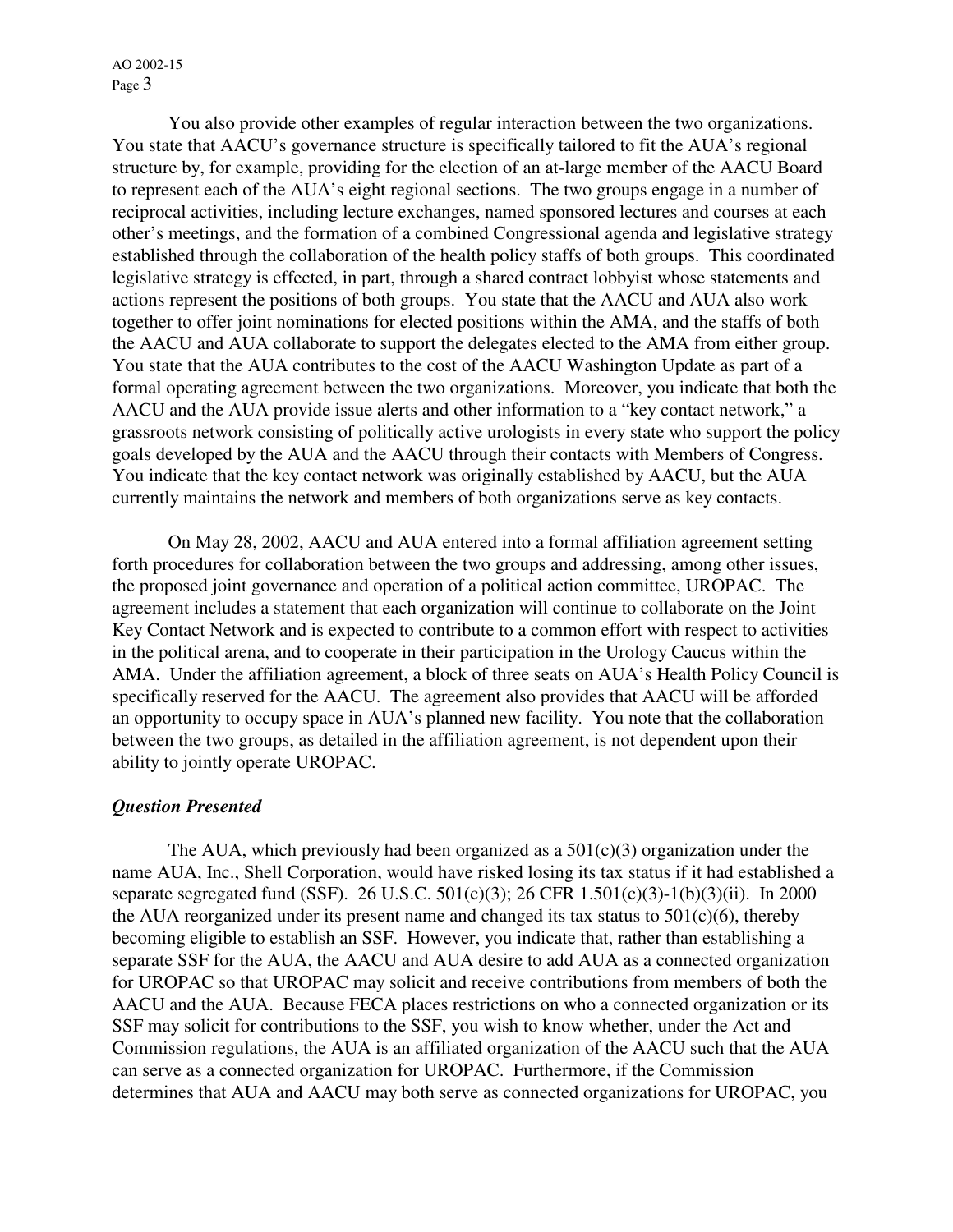You also provide other examples of regular interaction between the two organizations. You state that AACU's governance structure is specifically tailored to fit the AUA's regional structure by, for example, providing for the election of an at-large member of the AACU Board to represent each of the AUA's eight regional sections. The two groups engage in a number of reciprocal activities, including lecture exchanges, named sponsored lectures and courses at each other's meetings, and the formation of a combined Congressional agenda and legislative strategy established through the collaboration of the health policy staffs of both groups. This coordinated legislative strategy is effected, in part, through a shared contract lobbyist whose statements and actions represent the positions of both groups. You state that the AACU and AUA also work together to offer joint nominations for elected positions within the AMA, and the staffs of both the AACU and AUA collaborate to support the delegates elected to the AMA from either group. You state that the AUA contributes to the cost of the AACU Washington Update as part of a formal operating agreement between the two organizations. Moreover, you indicate that both the AACU and the AUA provide issue alerts and other information to a "key contact network," a grassroots network consisting of politically active urologists in every state who support the policy goals developed by the AUA and the AACU through their contacts with Members of Congress. You indicate that the key contact network was originally established by AACU, but the AUA currently maintains the network and members of both organizations serve as key contacts.

 On May 28, 2002, AACU and AUA entered into a formal affiliation agreement setting forth procedures for collaboration between the two groups and addressing, among other issues, the proposed joint governance and operation of a political action committee, UROPAC. The agreement includes a statement that each organization will continue to collaborate on the Joint Key Contact Network and is expected to contribute to a common effort with respect to activities in the political arena, and to cooperate in their participation in the Urology Caucus within the AMA. Under the affiliation agreement, a block of three seats on AUA's Health Policy Council is specifically reserved for the AACU. The agreement also provides that AACU will be afforded an opportunity to occupy space in AUA's planned new facility. You note that the collaboration between the two groups, as detailed in the affiliation agreement, is not dependent upon their ability to jointly operate UROPAC.

#### *Question Presented*

The AUA, which previously had been organized as a  $501(c)(3)$  organization under the name AUA, Inc., Shell Corporation, would have risked losing its tax status if it had established a separate segregated fund (SSF). 26 U.S.C. 501(c)(3); 26 CFR 1.501(c)(3)-1(b)(3)(ii). In 2000 the AUA reorganized under its present name and changed its tax status to  $501(c)(6)$ , thereby becoming eligible to establish an SSF. However, you indicate that, rather than establishing a separate SSF for the AUA, the AACU and AUA desire to add AUA as a connected organization for UROPAC so that UROPAC may solicit and receive contributions from members of both the AACU and the AUA. Because FECA places restrictions on who a connected organization or its SSF may solicit for contributions to the SSF, you wish to know whether, under the Act and Commission regulations, the AUA is an affiliated organization of the AACU such that the AUA can serve as a connected organization for UROPAC. Furthermore, if the Commission determines that AUA and AACU may both serve as connected organizations for UROPAC, you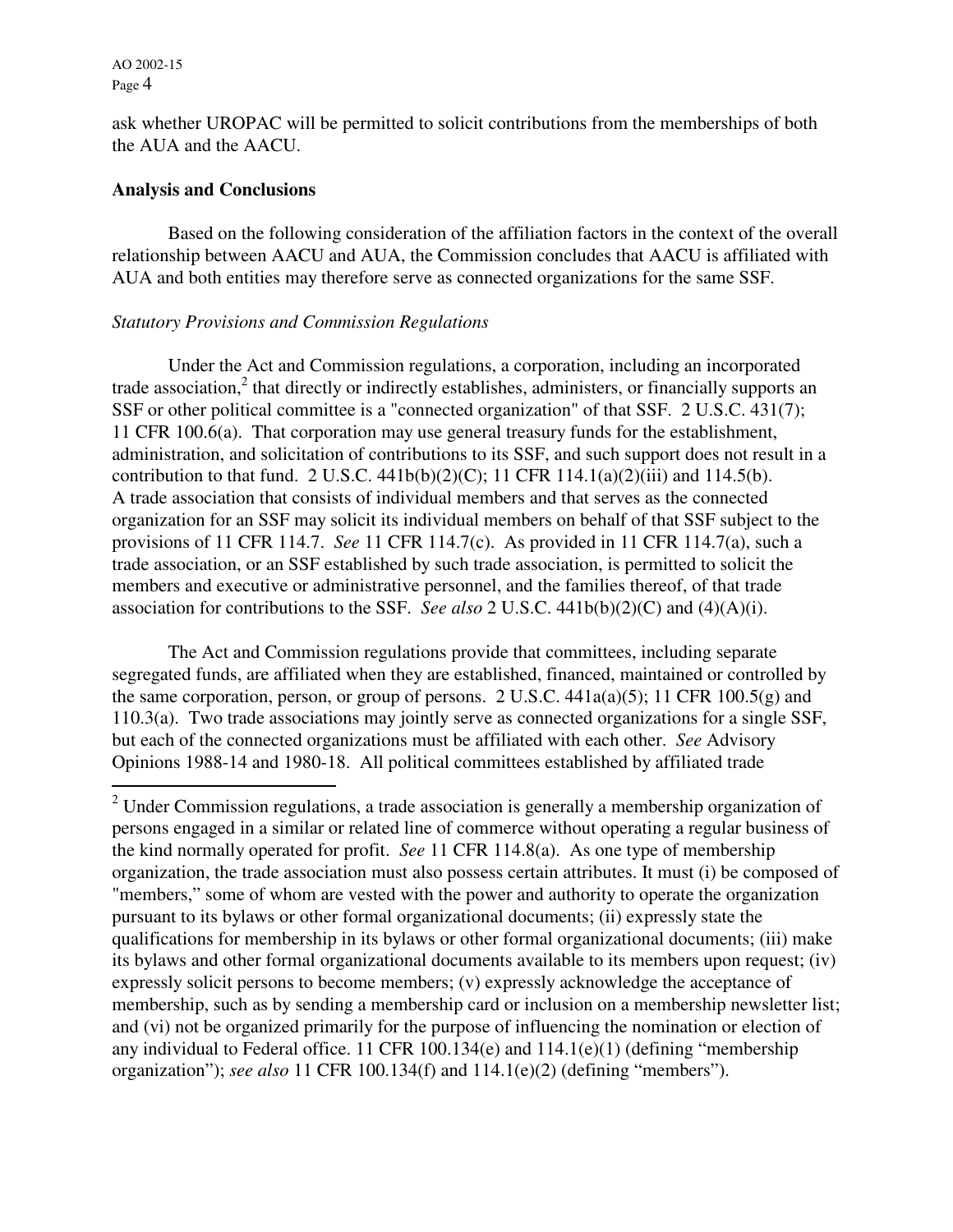$\overline{a}$ 

ask whether UROPAC will be permitted to solicit contributions from the memberships of both the AUA and the AACU.

#### **Analysis and Conclusions**

Based on the following consideration of the affiliation factors in the context of the overall relationship between AACU and AUA, the Commission concludes that AACU is affiliated with AUA and both entities may therefore serve as connected organizations for the same SSF.

#### *Statutory Provisions and Commission Regulations*

Under the Act and Commission regulations, a corporation, including an incorporated trade association,<sup>2</sup> that directly or indirectly establishes, administers, or financially supports an SSF or other political committee is a "connected organization" of that SSF. 2 U.S.C. 431(7); 11 CFR 100.6(a). That corporation may use general treasury funds for the establishment, administration, and solicitation of contributions to its SSF, and such support does not result in a contribution to that fund. 2 U.S.C. 441b(b)(2)(C); 11 CFR 114.1(a)(2)(iii) and 114.5(b). A trade association that consists of individual members and that serves as the connected organization for an SSF may solicit its individual members on behalf of that SSF subject to the provisions of 11 CFR 114.7. *See* 11 CFR 114.7(c). As provided in 11 CFR 114.7(a), such a trade association, or an SSF established by such trade association, is permitted to solicit the members and executive or administrative personnel, and the families thereof, of that trade association for contributions to the SSF. *See also* 2 U.S.C. 441b(b)(2)(C) and (4)(A)(i).

The Act and Commission regulations provide that committees, including separate segregated funds, are affiliated when they are established, financed, maintained or controlled by the same corporation, person, or group of persons. 2 U.S.C.  $441a(a)(5)$ ; 11 CFR 100.5(g) and 110.3(a). Two trade associations may jointly serve as connected organizations for a single SSF, but each of the connected organizations must be affiliated with each other. *See* Advisory Opinions 1988-14 and 1980-18. All political committees established by affiliated trade

 $2$  Under Commission regulations, a trade association is generally a membership organization of persons engaged in a similar or related line of commerce without operating a regular business of the kind normally operated for profit. *See* 11 CFR 114.8(a). As one type of membership organization, the trade association must also possess certain attributes. It must (i) be composed of "members," some of whom are vested with the power and authority to operate the organization pursuant to its bylaws or other formal organizational documents; (ii) expressly state the qualifications for membership in its bylaws or other formal organizational documents; (iii) make its bylaws and other formal organizational documents available to its members upon request; (iv) expressly solicit persons to become members; (v) expressly acknowledge the acceptance of membership, such as by sending a membership card or inclusion on a membership newsletter list; and (vi) not be organized primarily for the purpose of influencing the nomination or election of any individual to Federal office. 11 CFR 100.134(e) and 114.1(e)(1) (defining "membership organization"); *see also* 11 CFR 100.134(f) and 114.1(e)(2) (defining "members").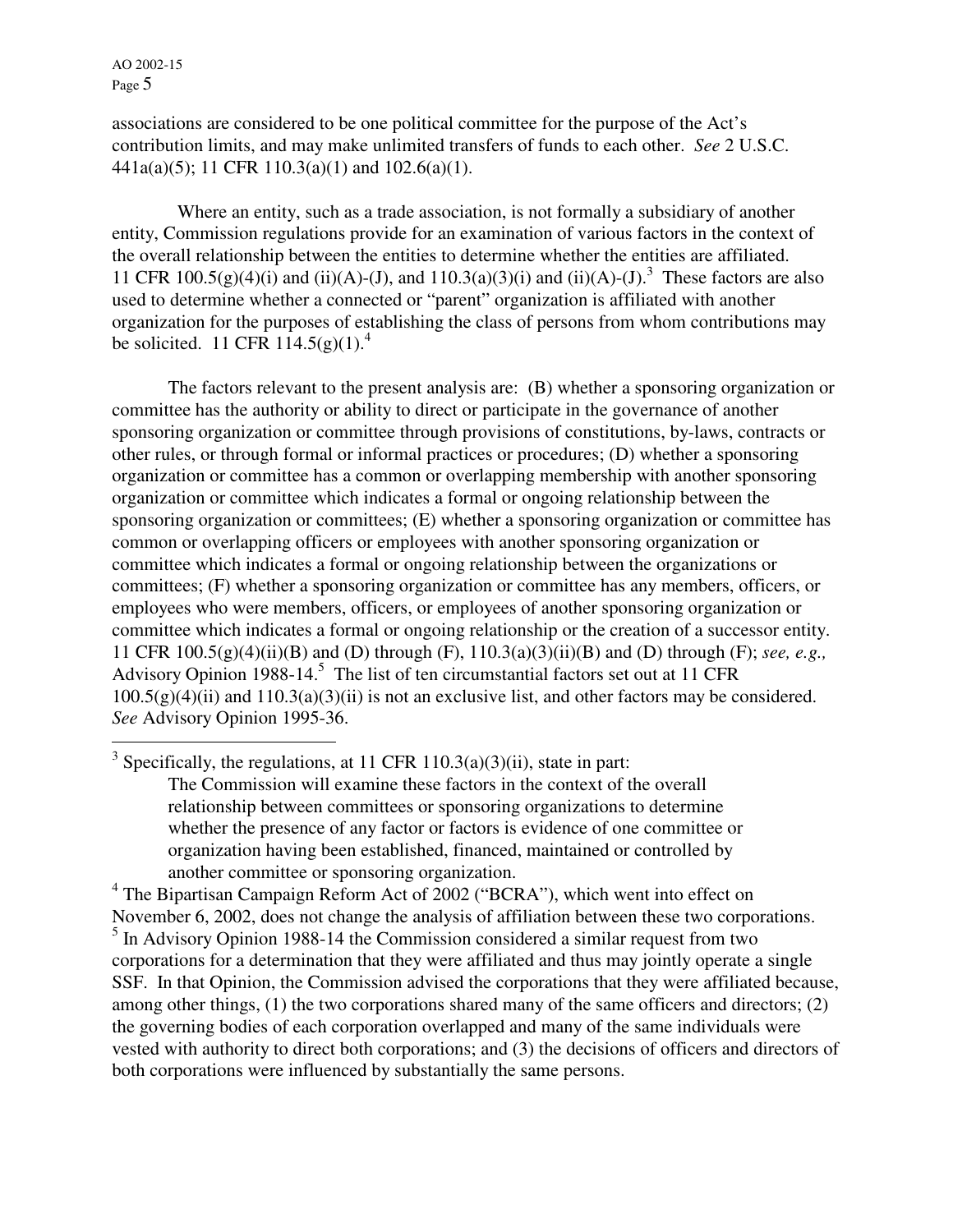$\overline{a}$ 

associations are considered to be one political committee for the purpose of the Act's contribution limits, and may make unlimited transfers of funds to each other. *See* 2 U.S.C. 441a(a)(5); 11 CFR 110.3(a)(1) and 102.6(a)(1).

 Where an entity, such as a trade association, is not formally a subsidiary of another entity, Commission regulations provide for an examination of various factors in the context of the overall relationship between the entities to determine whether the entities are affiliated. 11 CFR 100.5(g)(4)(i) and (ii)(A)-(J), and 110.3(a)(3)(i) and (ii)(A)-(J).<sup>3</sup> These factors are also used to determine whether a connected or "parent" organization is affiliated with another organization for the purposes of establishing the class of persons from whom contributions may be solicited. 11 CFR 114.5(g)(1).<sup>4</sup>

 The factors relevant to the present analysis are: (B) whether a sponsoring organization or committee has the authority or ability to direct or participate in the governance of another sponsoring organization or committee through provisions of constitutions, by-laws, contracts or other rules, or through formal or informal practices or procedures; (D) whether a sponsoring organization or committee has a common or overlapping membership with another sponsoring organization or committee which indicates a formal or ongoing relationship between the sponsoring organization or committees; (E) whether a sponsoring organization or committee has common or overlapping officers or employees with another sponsoring organization or committee which indicates a formal or ongoing relationship between the organizations or committees; (F) whether a sponsoring organization or committee has any members, officers, or employees who were members, officers, or employees of another sponsoring organization or committee which indicates a formal or ongoing relationship or the creation of a successor entity. 11 CFR 100.5(g)(4)(ii)(B) and (D) through (F), 110.3(a)(3)(ii)(B) and (D) through (F); *see, e.g.,*  Advisory Opinion 1988-14.<sup>5</sup> The list of ten circumstantial factors set out at 11 CFR  $100.5(g)(4)(ii)$  and  $110.3(a)(3)(ii)$  is not an exclusive list, and other factors may be considered. *See* Advisory Opinion 1995-36.

<sup>3</sup> Specifically, the regulations, at 11 CFR 110.3(a)(3)(ii), state in part: The Commission will examine these factors in the context of the overall relationship between committees or sponsoring organizations to determine whether the presence of any factor or factors is evidence of one committee or organization having been established, financed, maintained or controlled by another committee or sponsoring organization.

<sup>4</sup> The Bipartisan Campaign Reform Act of 2002 ("BCRA"), which went into effect on November 6, 2002, does not change the analysis of affiliation between these two corporations. <sup>5</sup> In Advisory Opinion 1988-14 the Commission considered a similar request from two corporations for a determination that they were affiliated and thus may jointly operate a single SSF. In that Opinion, the Commission advised the corporations that they were affiliated because, among other things, (1) the two corporations shared many of the same officers and directors; (2) the governing bodies of each corporation overlapped and many of the same individuals were vested with authority to direct both corporations; and (3) the decisions of officers and directors of both corporations were influenced by substantially the same persons.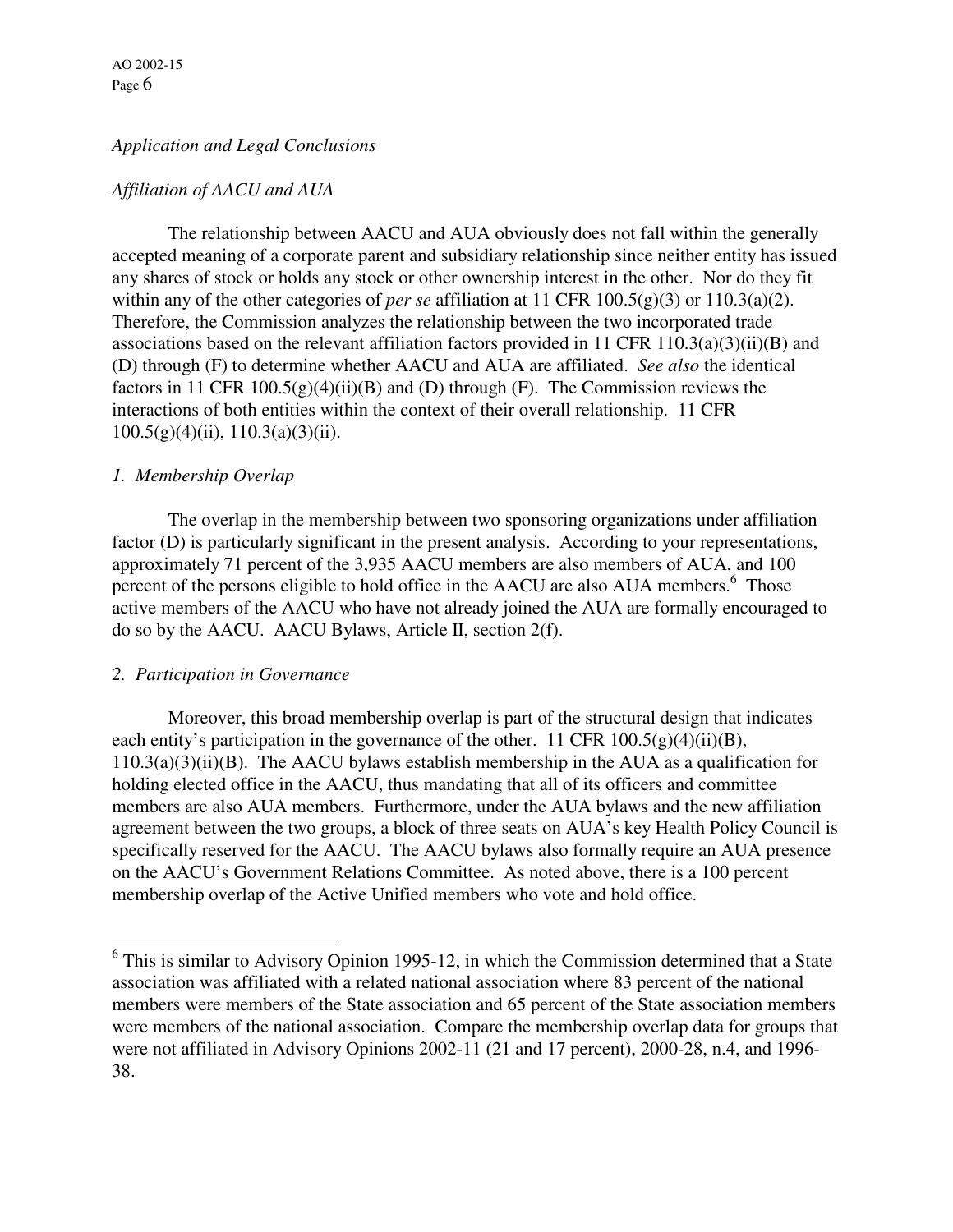## *Application and Legal Conclusions*

### *Affiliation of AACU and AUA*

The relationship between AACU and AUA obviously does not fall within the generally accepted meaning of a corporate parent and subsidiary relationship since neither entity has issued any shares of stock or holds any stock or other ownership interest in the other. Nor do they fit within any of the other categories of *per se* affiliation at 11 CFR 100.5(g)(3) or 110.3(a)(2). Therefore, the Commission analyzes the relationship between the two incorporated trade associations based on the relevant affiliation factors provided in 11 CFR 110.3(a)(3)(ii)(B) and (D) through (F) to determine whether AACU and AUA are affiliated. *See also* the identical factors in 11 CFR 100.5(g)(4)(ii)(B) and (D) through (F). The Commission reviews the interactions of both entities within the context of their overall relationship. 11 CFR  $100.5(g)(4)(ii)$ ,  $110.3(a)(3)(ii)$ .

### *1. Membership Overlap*

The overlap in the membership between two sponsoring organizations under affiliation factor (D) is particularly significant in the present analysis. According to your representations, approximately 71 percent of the 3,935 AACU members are also members of AUA, and 100 percent of the persons eligible to hold office in the AACU are also AUA members. $<sup>6</sup>$  Those</sup> active members of the AACU who have not already joined the AUA are formally encouraged to do so by the AACU. AACU Bylaws, Article II, section 2(f).

#### *2. Participation in Governance*

Moreover, this broad membership overlap is part of the structural design that indicates each entity's participation in the governance of the other. 11 CFR  $100.5(g)(4)(ii)(B)$ ,  $110.3(a)(3)(ii)(B)$ . The AACU bylaws establish membership in the AUA as a qualification for holding elected office in the AACU, thus mandating that all of its officers and committee members are also AUA members. Furthermore, under the AUA bylaws and the new affiliation agreement between the two groups, a block of three seats on AUA's key Health Policy Council is specifically reserved for the AACU. The AACU bylaws also formally require an AUA presence on the AACU's Government Relations Committee. As noted above, there is a 100 percent membership overlap of the Active Unified members who vote and hold office.

<sup>&</sup>lt;sup>6</sup> This is similar to Advisory Opinion 1995-12, in which the Commission determined that a State association was affiliated with a related national association where 83 percent of the national members were members of the State association and 65 percent of the State association members were members of the national association. Compare the membership overlap data for groups that were not affiliated in Advisory Opinions 2002-11 (21 and 17 percent), 2000-28, n.4, and 1996- 38.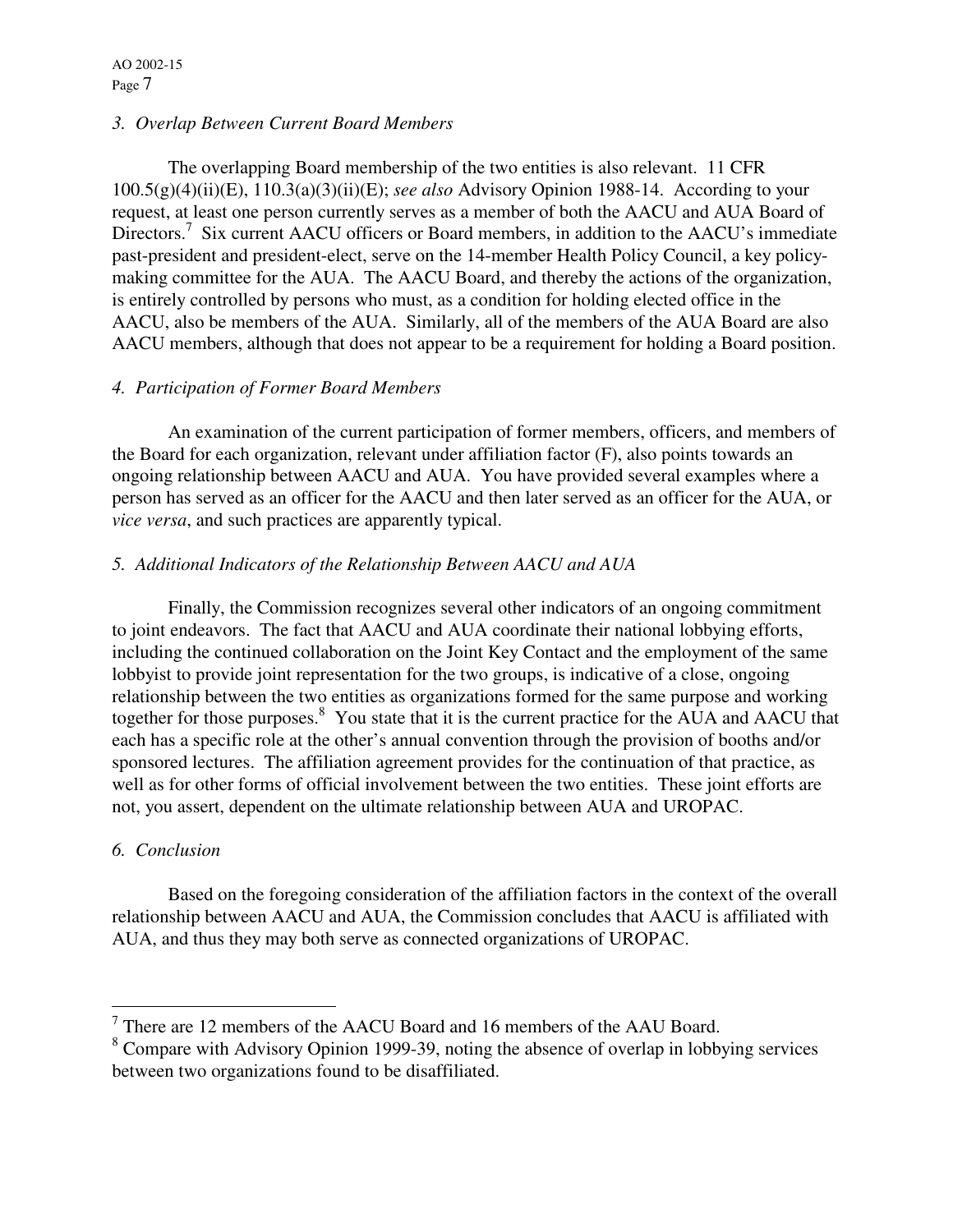## *3. Overlap Between Current Board Members*

The overlapping Board membership of the two entities is also relevant. 11 CFR 100.5(g)(4)(ii)(E), 110.3(a)(3)(ii)(E); *see also* Advisory Opinion 1988-14. According to your request, at least one person currently serves as a member of both the AACU and AUA Board of Directors.<sup>7</sup> Six current AACU officers or Board members, in addition to the AACU's immediate past-president and president-elect, serve on the 14-member Health Policy Council, a key policymaking committee for the AUA. The AACU Board, and thereby the actions of the organization, is entirely controlled by persons who must, as a condition for holding elected office in the AACU, also be members of the AUA. Similarly, all of the members of the AUA Board are also AACU members, although that does not appear to be a requirement for holding a Board position.

# *4. Participation of Former Board Members*

An examination of the current participation of former members, officers, and members of the Board for each organization, relevant under affiliation factor (F), also points towards an ongoing relationship between AACU and AUA. You have provided several examples where a person has served as an officer for the AACU and then later served as an officer for the AUA, or *vice versa*, and such practices are apparently typical.

# *5. Additional Indicators of the Relationship Between AACU and AUA*

Finally, the Commission recognizes several other indicators of an ongoing commitment to joint endeavors. The fact that AACU and AUA coordinate their national lobbying efforts, including the continued collaboration on the Joint Key Contact and the employment of the same lobbyist to provide joint representation for the two groups, is indicative of a close, ongoing relationship between the two entities as organizations formed for the same purpose and working together for those purposes.<sup>8</sup> You state that it is the current practice for the AUA and AACU that each has a specific role at the other's annual convention through the provision of booths and/or sponsored lectures. The affiliation agreement provides for the continuation of that practice, as well as for other forms of official involvement between the two entities. These joint efforts are not, you assert, dependent on the ultimate relationship between AUA and UROPAC.

# *6. Conclusion*

Based on the foregoing consideration of the affiliation factors in the context of the overall relationship between AACU and AUA, the Commission concludes that AACU is affiliated with AUA, and thus they may both serve as connected organizations of UROPAC.

<sup>&</sup>lt;sup>7</sup> There are 12 members of the AACU Board and 16 members of the AAU Board.

<sup>&</sup>lt;sup>8</sup> Compare with Advisory Opinion 1999-39, noting the absence of overlap in lobbying services between two organizations found to be disaffiliated.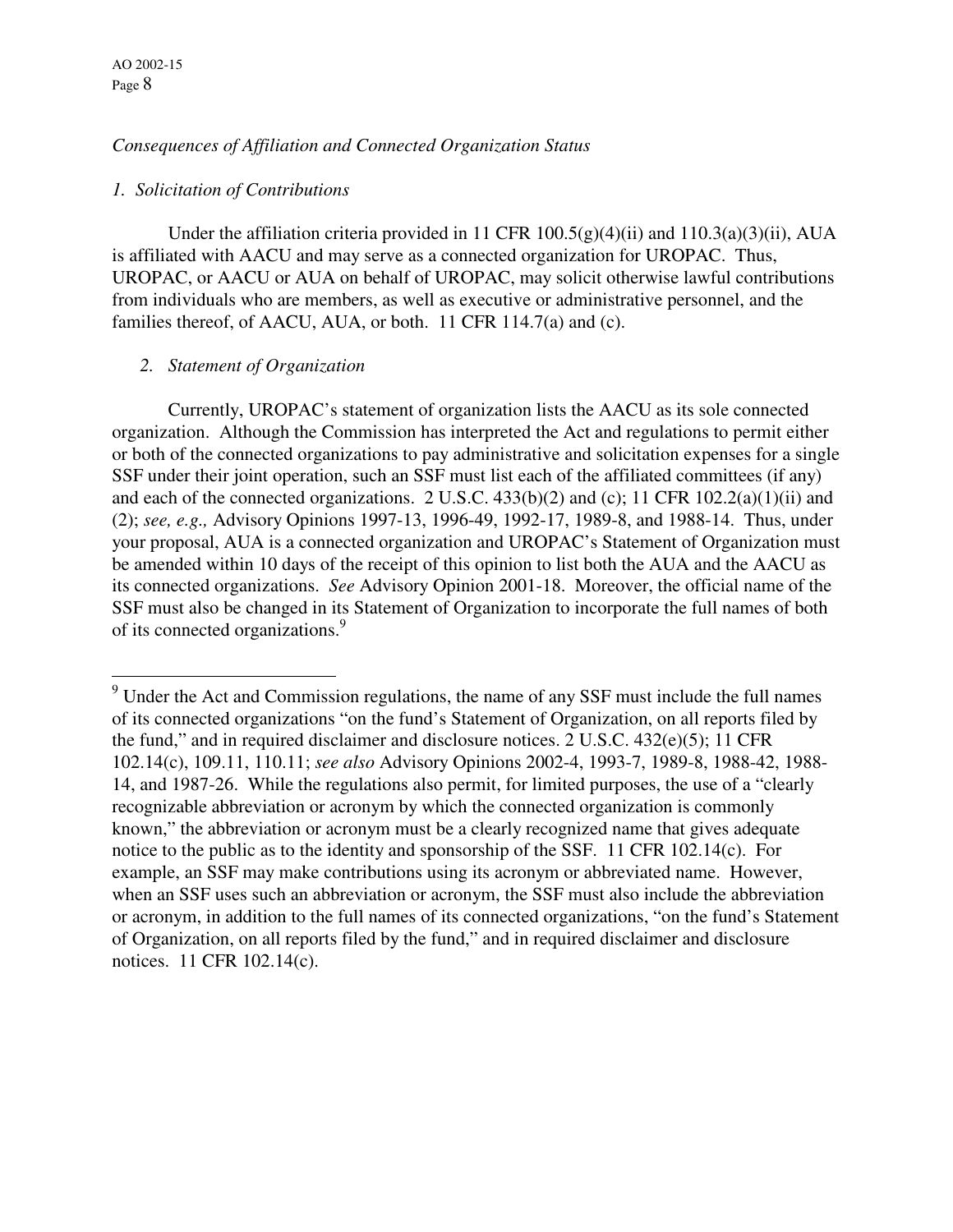$\overline{a}$ 

### *Consequences of Affiliation and Connected Organization Status*

#### *1. Solicitation of Contributions*

Under the affiliation criteria provided in 11 CFR  $100.5(g)(4)(ii)$  and  $110.3(a)(3)(ii)$ , AUA is affiliated with AACU and may serve as a connected organization for UROPAC. Thus, UROPAC, or AACU or AUA on behalf of UROPAC, may solicit otherwise lawful contributions from individuals who are members, as well as executive or administrative personnel, and the families thereof, of AACU, AUA, or both. 11 CFR 114.7(a) and (c).

### *2. Statement of Organization*

 Currently, UROPAC's statement of organization lists the AACU as its sole connected organization. Although the Commission has interpreted the Act and regulations to permit either or both of the connected organizations to pay administrative and solicitation expenses for a single SSF under their joint operation, such an SSF must list each of the affiliated committees (if any) and each of the connected organizations. 2 U.S.C.  $433(b)(2)$  and (c); 11 CFR 102.2(a)(1)(ii) and (2); *see, e.g.,* Advisory Opinions 1997-13, 1996-49, 1992-17, 1989-8, and 1988-14. Thus, under your proposal, AUA is a connected organization and UROPAC's Statement of Organization must be amended within 10 days of the receipt of this opinion to list both the AUA and the AACU as its connected organizations. *See* Advisory Opinion 2001-18. Moreover, the official name of the SSF must also be changed in its Statement of Organization to incorporate the full names of both of its connected organizations.<sup>9</sup>

 $9$  Under the Act and Commission regulations, the name of any SSF must include the full names of its connected organizations "on the fund's Statement of Organization, on all reports filed by the fund," and in required disclaimer and disclosure notices. 2 U.S.C.  $432(e)(5)$ ; 11 CFR 102.14(c), 109.11, 110.11; *see also* Advisory Opinions 2002-4, 1993-7, 1989-8, 1988-42, 1988- 14, and 1987-26. While the regulations also permit, for limited purposes, the use of a "clearly recognizable abbreviation or acronym by which the connected organization is commonly known," the abbreviation or acronym must be a clearly recognized name that gives adequate notice to the public as to the identity and sponsorship of the SSF. 11 CFR 102.14(c). For example, an SSF may make contributions using its acronym or abbreviated name. However, when an SSF uses such an abbreviation or acronym, the SSF must also include the abbreviation or acronym, in addition to the full names of its connected organizations, "on the fund's Statement of Organization, on all reports filed by the fund," and in required disclaimer and disclosure notices. 11 CFR 102.14(c).